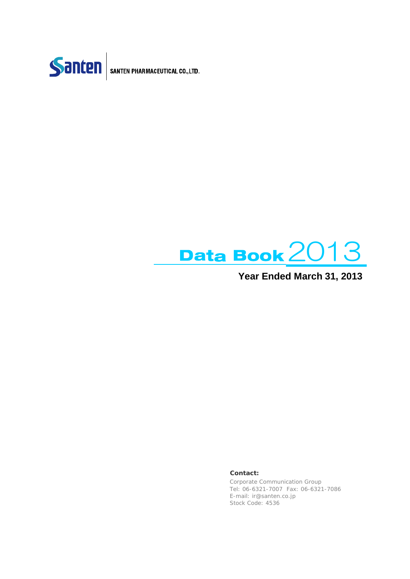

SANTEN PHARMACEUTICAL CO., LTD.



# **Year Ended March 31, 2013**

### **Contact:**

Corporate Communication Group Tel: 06-6321-7007 Fax: 06-6321-7086 E-mail: ir@santen.co.jp Stock Code: 4536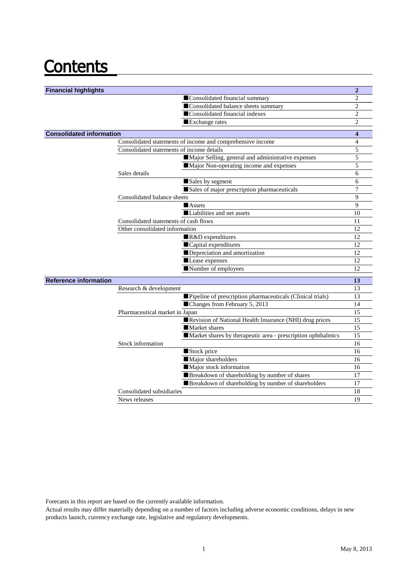# **Contents**

| <b>Financial highlights</b>     |                                           | Consolidated financial summary                               | $\overline{2}$<br>$\overline{c}$ |
|---------------------------------|-------------------------------------------|--------------------------------------------------------------|----------------------------------|
|                                 |                                           | Consolidated balance sheets summary                          | 2                                |
|                                 |                                           | Consolidated financial indexes                               | $\overline{c}$                   |
|                                 |                                           | Exchange rates                                               | $\overline{c}$                   |
|                                 |                                           |                                                              |                                  |
| <b>Consolidated information</b> |                                           |                                                              | $\overline{\mathbf{4}}$          |
|                                 |                                           | Consolidated statements of income and comprehensive income   | $\overline{4}$                   |
|                                 | Consolidated statements of income details |                                                              | 5                                |
|                                 |                                           | Major Selling, general and administrative expenses           | 5                                |
|                                 |                                           | Major Non-operating income and expenses                      | 5                                |
|                                 | Sales details                             |                                                              | 6                                |
|                                 |                                           | Sales by segment                                             | 6                                |
|                                 |                                           | Sales of major prescription pharmaceuticals                  | 7                                |
|                                 | Consolidated balance sheets               |                                                              | 9                                |
|                                 |                                           | Assets                                                       | 9                                |
|                                 |                                           | Liabilities and net assets                                   | 10                               |
|                                 | Consolidated statements of cash flows     |                                                              | 11                               |
|                                 | Other consolidated information            |                                                              | 12                               |
|                                 |                                           | R&D expenditures                                             | 12                               |
|                                 |                                           | Capital expenditures                                         | 12                               |
|                                 |                                           | Depreciation and amortization                                | 12                               |
|                                 |                                           | Lease expenses                                               | 12                               |
|                                 |                                           | Number of employees                                          | 12.                              |
| <b>Reference information</b>    |                                           |                                                              | 13                               |
|                                 | Research & development                    |                                                              | 13                               |
|                                 |                                           | Pipeline of prescription pharmaceuticals (Clinical trials)   | 13                               |
|                                 |                                           | Changes from February 5, 2013                                | 14                               |
|                                 | Pharmaceutical market in Japan            |                                                              | 15                               |
|                                 |                                           | Revision of National Health Insurance (NHI) drug prices      | 15                               |
|                                 |                                           | Market shares                                                | 15                               |
|                                 |                                           | Market shares by therapeutic area - prescription ophthalmics | 15                               |
|                                 | Stock information                         |                                                              | 16                               |
|                                 |                                           | Stock price                                                  | 16                               |
|                                 |                                           | Major shareholders                                           | 16                               |
|                                 |                                           | Major stock information                                      | 16                               |
|                                 |                                           | Breakdown of shareholding by number of shares                | 17                               |
|                                 |                                           | Breakdown of shareholding by number of shareholders          | 17                               |
|                                 | Consolidated subsidiaries                 |                                                              | 18                               |
|                                 | News releases                             |                                                              | 19                               |
|                                 |                                           |                                                              |                                  |

Forecasts in this report are based on the currently available information.

Actual results may differ materially depending on a number of factors including adverse economic conditions, delays in new products launch, currency exchange rate, legislative and regulatory developments.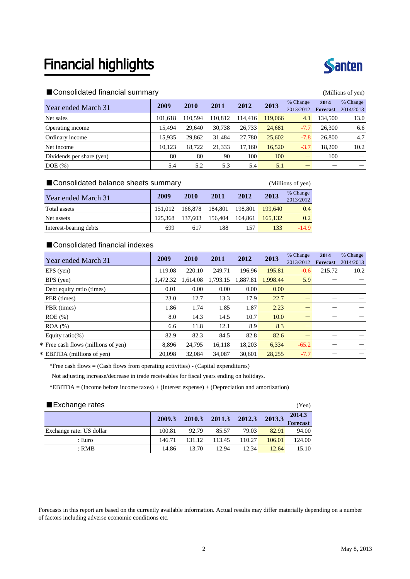

| $\blacksquare$ vonoonaatod mianolai vannitai y |         |         |         | (1)     |         |                       |                         |                       |
|------------------------------------------------|---------|---------|---------|---------|---------|-----------------------|-------------------------|-----------------------|
| Year ended March 31                            | 2009    | 2010    | 2011    | 2012    | 2013    | % Change<br>2013/2012 | 2014<br><b>Forecast</b> | % Change<br>2014/2013 |
| Net sales                                      | 101.618 | 110.594 | 110.812 | 114,416 | 119,066 | 4.1                   | 134.500                 | 13.0                  |
| Operating income                               | 15.494  | 29,640  | 30,738  | 26,733  | 24,681  | $-7.7$                | 26,300                  | 6.6                   |
| Ordinary income                                | 15.935  | 29,862  | 31.484  | 27.780  | 25,602  | $-7.8$                | 26,800                  | 4.7                   |
| Net income                                     | 10.123  | 18.722  | 21.333  | 17.160  | 16.520  | $-3.7$                | 18.200                  | 10.2                  |
| Dividends per share (yen)                      | 80      | 80      | 90      | 100     | 100     |                       | 100                     |                       |
| $DOE$ $(\%)$                                   | 5.4     | 5.2     | 5.3     | 5.4     | 5.1     |                       |                         |                       |

| ■ Consolidated balance sheets summary |  |
|---------------------------------------|--|
|---------------------------------------|--|

| Year ended March 31    | 2009    | 2010    | 2011    | 2012    | 2013    | % Change<br>2013/2012 |
|------------------------|---------|---------|---------|---------|---------|-----------------------|
| Total assets           | 151.012 | 166.878 | 184,801 | 198,801 | 199.640 | 0.4                   |
| Net assets             | 125.368 | 137,603 | 156,404 | 164.861 | 165,132 | 0.2                   |
| Interest-bearing debts | 699     | 617     | 188     | 157     | 133     | $-14.9$               |

## ■Consolidated financial indexes

| Year ended March 31                 | 2009     | 2010     | 2011     | 2012     | 2013     | % Change<br>2013/2012 | 2014<br><b>Forecast</b> | % Change<br>2014/2013 |
|-------------------------------------|----------|----------|----------|----------|----------|-----------------------|-------------------------|-----------------------|
| $EPS$ (yen)                         | 119.08   | 220.10   | 249.71   | 196.96   | 195.81   | $-0.6$                | 215.72                  | 10.2                  |
| BPS (yen)                           | 1.472.32 | 1.614.08 | 1,793.15 | 1.887.81 | 1.998.44 | 5.9                   |                         |                       |
| Debt equity ratio (times)           | 0.01     | 0.00     | 0.00     | 0.00     | 0.00     |                       |                         |                       |
| PER (times)                         | 23.0     | 12.7     | 13.3     | 17.9     | 22.7     |                       |                         |                       |
| PBR (times)                         | 1.86     | 1.74     | 1.85     | 1.87     | 2.23     |                       |                         |                       |
| $ROE$ $(\%)$                        | 8.0      | 14.3     | 14.5     | 10.7     | 10.0     |                       |                         |                       |
| $ROA (\%)$                          | 6.6      | 11.8     | 12.1     | 8.9      | 8.3      |                       |                         |                       |
| Equity ratio(%)                     | 82.9     | 82.3     | 84.5     | 82.8     | 82.6     |                       |                         |                       |
| * Free cash flows (millions of yen) | 8.896    | 24,795   | 16,118   | 18,203   | 6,334    | $-65.2$               |                         |                       |
| * EBITDA (millions of yen)          | 20.098   | 32,084   | 34.087   | 30.601   | 28,255   | $-7.7$                |                         |                       |

\*Free cash flows = (Cash flows from operating activities) - (Capital expenditures)

Not adjusting increase/decrease in trade receivables for fiscal years ending on holidays.

\*EBITDA = (Income before income taxes) + (Interest expense) + (Depreciation and amortization)

| ■Exchange rates          |        |        |        |        |        | (Yen)              |
|--------------------------|--------|--------|--------|--------|--------|--------------------|
|                          | 2009.3 | 2010.3 | 2011.3 | 2012.3 | 2013.3 | 2014.3<br>Forecast |
| Exchange rate: US dollar | 100.81 | 92.79  | 85.57  | 79.03  | 82.91  | 94.00              |
| : Euro                   | 146.71 | 131.12 | 113.45 | 110.27 | 106.01 | 124.00             |
| : RMB                    | 14.86  | 13.70  | 12.94  | 12.34  | 12.64  | 15.10              |

Forecasts in this report are based on the currently available information. Actual results may differ materially depending on a number of factors including adverse economic conditions etc.



(Millions of yen)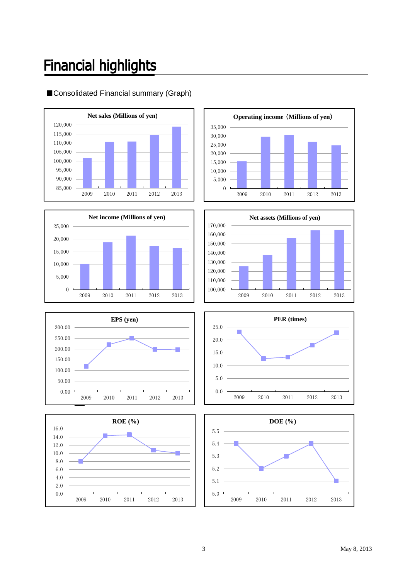# **Financial highlights**



## ■Consolidated Financial summary (Graph)













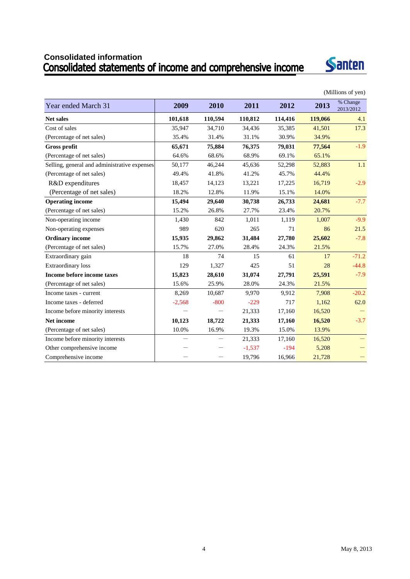# **Consolidated information**



|                                              |          |                          |          |         |         | (Millions of yen)     |
|----------------------------------------------|----------|--------------------------|----------|---------|---------|-----------------------|
| Year ended March 31                          | 2009     | 2010                     | 2011     | 2012    | 2013    | % Change<br>2013/2012 |
| <b>Net sales</b>                             | 101,618  | 110,594                  | 110,812  | 114,416 | 119,066 | 4.1                   |
| Cost of sales                                | 35,947   | 34,710                   | 34,436   | 35,385  | 41,501  | 17.3                  |
| (Percentage of net sales)                    | 35.4%    | 31.4%                    | 31.1%    | 30.9%   | 34.9%   |                       |
| <b>Gross profit</b>                          | 65,671   | 75,884                   | 76,375   | 79,031  | 77,564  | $-1.9$                |
| (Percentage of net sales)                    | 64.6%    | 68.6%                    | 68.9%    | 69.1%   | 65.1%   |                       |
| Selling, general and administrative expenses | 50,177   | 46,244                   | 45,636   | 52,298  | 52,883  | 1.1                   |
| (Percentage of net sales)                    | 49.4%    | 41.8%                    | 41.2%    | 45.7%   | 44.4%   |                       |
| R&D expenditures                             | 18,457   | 14,123                   | 13,221   | 17,225  | 16,719  | $-2.9$                |
| (Percentage of net sales)                    | 18.2%    | 12.8%                    | 11.9%    | 15.1%   | 14.0%   |                       |
| <b>Operating income</b>                      | 15,494   | 29,640                   | 30,738   | 26,733  | 24,681  | $-7.7$                |
| (Percentage of net sales)                    | 15.2%    | 26.8%                    | 27.7%    | 23.4%   | 20.7%   |                       |
| Non-operating income                         | 1,430    | 842                      | 1,011    | 1,119   | 1,007   | $-9.9$                |
| Non-operating expenses                       | 989      | 620                      | 265      | 71      | 86      | 21.5                  |
| <b>Ordinary income</b>                       | 15,935   | 29,862                   | 31,484   | 27,780  | 25,602  | $-7.8$                |
| (Percentage of net sales)                    | 15.7%    | 27.0%                    | 28.4%    | 24.3%   | 21.5%   |                       |
| Extraordinary gain                           | 18       | 74                       | 15       | 61      | 17      | $-71.2$               |
| <b>Extraordinary</b> loss                    | 129      | 1,327                    | 425      | 51      | 28      | $-44.8$               |
| Income before income taxes                   | 15,823   | 28,610                   | 31,074   | 27,791  | 25,591  | $-7.9$                |
| (Percentage of net sales)                    | 15.6%    | 25.9%                    | 28.0%    | 24.3%   | 21.5%   |                       |
| Income taxes - current                       | 8,269    | 10,687                   | 9,970    | 9,912   | 7,908   | $-20.2$               |
| Income taxes - deferred                      | $-2,568$ | $-800$                   | $-229$   | 717     | 1,162   | 62.0                  |
| Income before minority interests             |          | $\overline{\phantom{0}}$ | 21,333   | 17,160  | 16,520  |                       |
| Net income                                   | 10,123   | 18,722                   | 21,333   | 17,160  | 16,520  | $-3.7$                |
| (Percentage of net sales)                    | 10.0%    | 16.9%                    | 19.3%    | 15.0%   | 13.9%   |                       |
| Income before minority interests             |          | $\equiv$                 | 21,333   | 17,160  | 16,520  |                       |
| Other comprehensive income                   |          |                          | $-1.537$ | $-194$  | 5,208   |                       |
| Comprehensive income                         |          |                          | 19,796   | 16,966  | 21,728  |                       |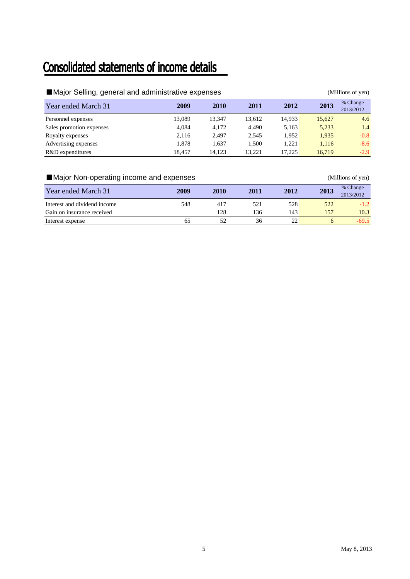# **Consolidated statements of income details**

| Major Selling, general and administrative expenses |        |        |        |        |        | (Millions of yen)     |
|----------------------------------------------------|--------|--------|--------|--------|--------|-----------------------|
| Year ended March 31                                | 2009   | 2010   | 2011   | 2012   | 2013   | % Change<br>2013/2012 |
| Personnel expenses                                 | 13,089 | 13,347 | 13,612 | 14,933 | 15,627 | 4.6                   |
| Sales promotion expenses                           | 4.084  | 4.172  | 4.490  | 5,163  | 5,233  | 1.4                   |
| Royalty expenses                                   | 2,116  | 2.497  | 2,545  | 1.952  | 1,935  | $-0.8$                |
| Advertising expenses                               | 1,878  | 1.637  | 1,500  | 1.221  | 1.116  | $-8.6$                |
| R&D expenditures                                   | 18.457 | 14.123 | 13.221 | 17.225 | 16,719 | $-2.9$                |

| Major Non-operating income and expenses |  |
|-----------------------------------------|--|
|-----------------------------------------|--|

| Year ended March 31          | 2009 | 2010 | 2011 | 2012 | 2013 | % Change<br>2013/2012 |
|------------------------------|------|------|------|------|------|-----------------------|
| Interest and dividend income | 548  | 417  | 521  | 528  | 522  | $-1.2$                |
| Gain on insurance received   |      | 128  | 136  | 143  | 157  | 10.3                  |
| Interest expense             | ნა   |      | 36   |      |      | $-69.5$               |

(Millions of yen)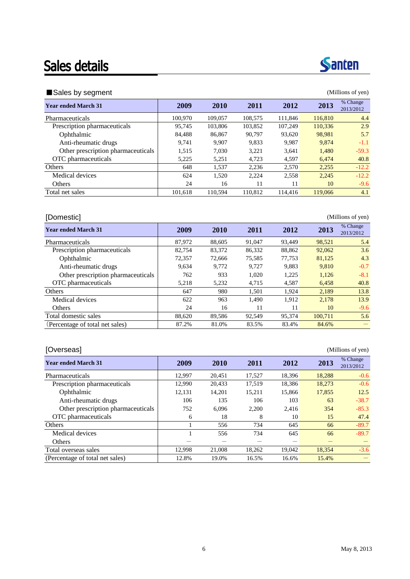# Sales details



### ■Sales by segment (Millions of yen)

| <b>Year ended March 31</b>         | 2009    | 2010    | 2011    | 2012    | 2013    | % Change<br>2013/2012 |
|------------------------------------|---------|---------|---------|---------|---------|-----------------------|
| Pharmaceuticals                    | 100,970 | 109,057 | 108,575 | 111.846 | 116,810 | 4.4                   |
| Prescription pharmaceuticals       | 95.745  | 103.806 | 103.852 | 107.249 | 110.336 | 2.9                   |
| Ophthalmic                         | 84.488  | 86,867  | 90.797  | 93.620  | 98.981  | 5.7                   |
| Anti-rheumatic drugs               | 9.741   | 9.907   | 9,833   | 9.987   | 9.874   | $-1.1$                |
| Other prescription pharmaceuticals | 1,515   | 7.030   | 3.221   | 3,641   | 1,480   | $-59.3$               |
| OTC pharmaceuticals                | 5.225   | 5.251   | 4.723   | 4.597   | 6.474   | 40.8                  |
| <b>Others</b>                      | 648     | 1.537   | 2.236   | 2.570   | 2.255   | $-12.2$               |
| Medical devices                    | 624     | 1.520   | 2.224   | 2,558   | 2.245   | $-12.2$               |
| Others                             | 24      | 16      | 11      | 11      | 10      | $-9.6$                |
| Total net sales                    | 101,618 | 110.594 | 110.812 | 114,416 | 119,066 | 4.1                   |

| [Domestic]                         |        |        |        |        |         | (Millions of yen)     |
|------------------------------------|--------|--------|--------|--------|---------|-----------------------|
| <b>Year ended March 31</b>         | 2009   | 2010   | 2011   | 2012   | 2013    | % Change<br>2013/2012 |
| Pharmaceuticals                    | 87,972 | 88,605 | 91,047 | 93,449 | 98,521  | 5.4                   |
| Prescription pharmaceuticals       | 82,754 | 83,372 | 86,332 | 88,862 | 92,062  | 3.6                   |
| Ophthalmic                         | 72,357 | 72,666 | 75,585 | 77,753 | 81,125  | 4.3                   |
| Anti-rheumatic drugs               | 9,634  | 9.772  | 9.727  | 9,883  | 9,810   | $-0.7$                |
| Other prescription pharmaceuticals | 762    | 933    | 1,020  | 1,225  | 1,126   | $-8.1$                |
| OTC pharmaceuticals                | 5,218  | 5,232  | 4,715  | 4,587  | 6,458   | 40.8                  |
| <b>Others</b>                      | 647    | 980    | 1,501  | 1,924  | 2,189   | 13.8                  |
| Medical devices                    | 622    | 963    | 1,490  | 1,912  | 2,178   | 13.9                  |
| Others                             | 24     | 16     | 11     | 11     | 10      | $-9.6$                |
| Total domestic sales               | 88.620 | 89,586 | 92,549 | 95,374 | 100.711 | 5.6                   |
| (Percentage of total net sales)    | 87.2%  | 81.0%  | 83.5%  | 83.4%  | 84.6%   |                       |

### [Overseas] (Millions of yen) **Year ended March 31 2009 2010 2011 2012 2013** <sup>% Change</sup> 2013/2012 Pharmaceuticals 12,997 20,451 17,527 18,396 18,288 -0.6 Prescription pharmaceuticals 12,990 20,433 17,519 18,386 18,273 -0.6 Ophthalmic 12,131 14,201 15,211 15,866 17,855 12.5 Anti-rheumatic drugs 106 135 106 103 63 -38.7 Other prescription pharmaceuticals  $\begin{array}{cccc} 752 & 6,096 & 2,200 & 2,416 & 354 & -85.3 \end{array}$ OTC pharmaceuticals 6 18 8 10 15 47.4<br>thers 1 556 734 645 66 -89.7 Others 66 -89.7 Medical devices 1 556 734 645 66 -89.7 Others  $-$ Total overseas sales 12,998 21,008 18,262 19,042 18,354 -3.6 (Percentage of total net sales) 12.8% 19.0% 16.5% 16.6% 15.4%  $-$

**Santen**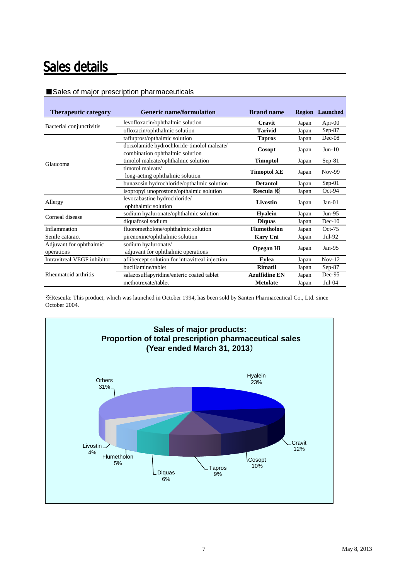# Sales details

| Sales of major prescription pharmaceuticals |
|---------------------------------------------|
|---------------------------------------------|

| <b>Therapeutic category</b> | <b>Generic name/formulation</b>                 | <b>Brand name</b>    |       | <b>Region</b> Launched |
|-----------------------------|-------------------------------------------------|----------------------|-------|------------------------|
| Bacterial conjunctivitis    | levofloxacin/ophthalmic solution                | Cravit               | Japan | Apr- $00$              |
|                             | ofloxacin/ophthalmic solution                   | <b>Tarivid</b>       | Japan | Sep-87                 |
|                             | tafluprost/opthalmic solution                   | <b>Tapros</b>        | Japan | Dec-08                 |
|                             | dorzolamide hydrochloride-timolol maleate/      | Cosopt               | Japan | $Jun-10$               |
|                             | combination ophthalmic solution                 |                      |       |                        |
| Glaucoma                    | timolol maleate/ophthalmic solution             | <b>Timoptol</b>      | Japan | $Sep-81$               |
|                             | timotol maleate/                                | <b>Timoptol XE</b>   | Japan | Nov-99                 |
|                             | long-acting ophthalmic solution                 |                      |       |                        |
|                             | bunazosin hydrochloride/opthalmic solution      | <b>Detantol</b>      | Japan | $Sep-01$               |
|                             | isopropyl unoprostone/opthalmic solution        | Rescula ※            | Japan | Oct-94                 |
| Allergy                     | levocabastine hydrochloride/                    | Livostin             | Japan | $Jan-01$               |
|                             | ophthalmic solution                             |                      |       |                        |
| Corneal disease             | sodium hyaluronate/ophthalmic solution          | <b>Hyalein</b>       | Japan | $Jun-95$               |
|                             | diquafosol sodium                               | <b>Diquas</b>        | Japan | $Dec-10$               |
| Inflammation                | fluorometholone/ophthalmic solution             | <b>Flumetholon</b>   | Japan | $Oct-75$               |
| Senile cataract             | pirenoxine/ophthalmic solution                  | Kary Uni             | Japan | Jul-92                 |
| Adjuvant for ophthalmic     | sodium hyaluronate/                             |                      |       | $Jan-95$               |
| operations                  | adjuvant for ophthalmic operations              | <b>Opegan Hi</b>     | Japan |                        |
| Intravitreal VEGF inhibitor | aflibercept solution for intravitreal injection | <b>Eylea</b>         | Japan | $Nov-12$               |
|                             | bucillamine/tablet                              | <b>Rimatil</b>       | Japan | $Sep-87$               |
| Rheumatoid arthritis        | salazosulfapyridine/enteric coated tablet       | <b>Azulfidine EN</b> | Japan | Dec-95                 |
|                             | methotrexate/tablet                             | <b>Metolate</b>      | Japan | $Jul-04$               |

※Rescula: This product, which was launched in October 1994, has been sold by Santen Pharmaceutical Co., Ltd. since October 2004.

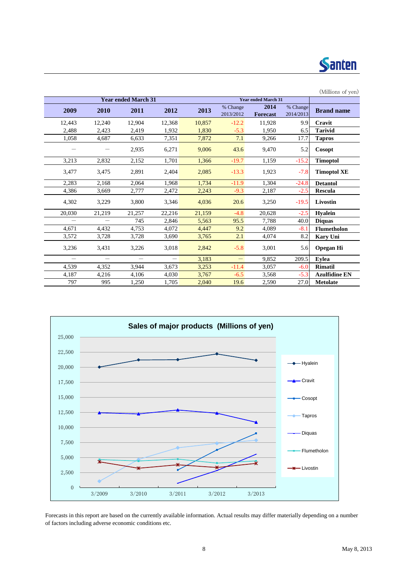

| (Millions of yen)    |                       |                            |                       |        |                          |                            |                 |                               |
|----------------------|-----------------------|----------------------------|-----------------------|--------|--------------------------|----------------------------|-----------------|-------------------------------|
|                      |                       | <b>Year ended March 31</b> |                       |        |                          | <b>Year ended March 31</b> |                 |                               |
| <b>Brand name</b>    | % Change<br>2014/2013 | 2014<br><b>Forecast</b>    | % Change<br>2013/2012 | 2013   | 2012                     | 2011                       | 2010            | 2009                          |
| Cravit               | 9.9                   | 11,928                     | $-12.2$               | 10,857 | 12,368                   | 12,904                     | 12,240          | 12,443                        |
| <b>Tarivid</b>       | 6.5                   | 1,950                      | $-5.3$                | 1,830  | 1,932                    | 2,419                      | 2,423           | 2,488                         |
| <b>Tapros</b>        | 17.7                  | 9,266                      | 7.1                   | 7,872  | 7,351                    | 6,633                      | 4.687           | 1,058                         |
| Cosopt               | 5.2                   | 9,470                      | 43.6                  | 9,006  | 6,271                    | 2,935                      |                 |                               |
| <b>Timoptol</b>      | $-15.2$               | 1,159                      | $-19.7$               | 1,366  | 1,701                    | 2,152                      | 2,832           | 3,213                         |
| <b>Timoptol XE</b>   | $-7.8$                | 1,923                      | $-13.3$               | 2,085  | 2,404                    | 2,891                      | 3,475           | 3,477                         |
| <b>Detantol</b>      | $-24.8$               | 1,304                      | $-11.9$               | 1,734  | 1,968                    | 2,064                      | 2,168           | 2,283                         |
| <b>Rescula</b>       | $-2.5$                | 2,187                      | $-9.3$                | 2,243  | 2,472                    | 2,777                      | 3,669           | 4,386                         |
| Livostin             | $-19.5$               | 3,250                      | 20.6                  | 4,036  | 3,346                    | 3,800                      | 3,229           | 4,302                         |
| <b>Hyalein</b>       | $-2.5$                | 20,628                     | $-4.8$                | 21,159 | 22,216                   | 21,257                     | 21,219          | 20,030                        |
| <b>Diquas</b>        | 40.0                  | 7,788                      | 95.5                  | 5,563  | 2,846                    | 745                        |                 |                               |
| <b>Flumetholon</b>   | $-8.1$                | 4,089                      | 9.2                   | 4,447  | 4,072                    | 4,753                      | 4,432           | 4,671                         |
| <b>Kary Uni</b>      | 8.2                   | 4,074                      | 2.1                   | 3,765  | 3,690                    | 3,728                      | 3,728           | 3,572                         |
| <b>Opegan Hi</b>     | 5.6                   | 3,001                      | $-5.8$                | 2,842  | 3,018                    | 3,226                      | 3,431           | 3,236                         |
| Eylea                | 209.5                 | 9,852                      | $\qquad \qquad -$     | 3,183  | $\overline{\phantom{m}}$ | $\qquad \qquad$            | $\qquad \qquad$ | $\overbrace{\phantom{aaaaa}}$ |
| <b>Rimatil</b>       | $-6.0$                | 3,057                      | $-11.4$               | 3,253  | 3,673                    | 3,944                      | 4,352           | 4,539                         |
| <b>Azulfidine EN</b> | $-5.3$                | 3,568                      | $-6.5$                | 3,767  | 4,030                    | 4,106                      | 4,216           | 4,187                         |
| <b>Metolate</b>      | 27.0                  | 2,590                      | 19.6                  | 2,040  | 1,705                    | 1,250                      | 995             | 797                           |



Forecasts in this report are based on the currently available information. Actual results may differ materially depending on a number of factors including adverse economic conditions etc.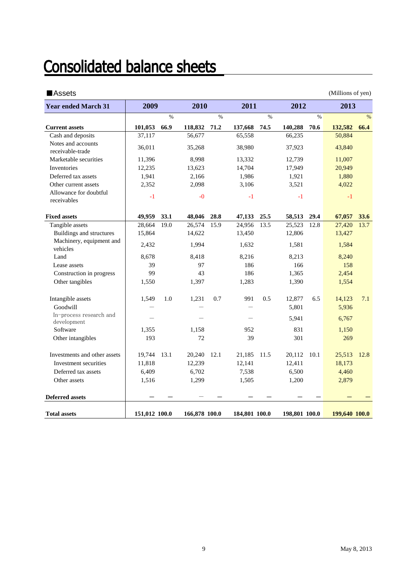# **Consolidated balance sheets**

| <b>Assets</b>                          |               |               |               |      |               |               |               |      | (Millions of yen) |      |
|----------------------------------------|---------------|---------------|---------------|------|---------------|---------------|---------------|------|-------------------|------|
| <b>Year ended March 31</b>             | 2009          |               | 2010          |      | 2011          |               | 2012          |      | 2013              |      |
|                                        |               | $\frac{0}{0}$ |               | $\%$ |               | $\frac{0}{0}$ |               | $\%$ |                   | $\%$ |
| <b>Current assets</b>                  | 101,053       | 66.9          | 118,832       | 71.2 | 137,668       | 74.5          | 140,288       | 70.6 | 132,582           | 66.4 |
| Cash and deposits                      | 37,117        |               | 56,677        |      | 65,558        |               | 66,235        |      | 50,884            |      |
| Notes and accounts<br>receivable-trade | 36,011        |               | 35,268        |      | 38,980        |               | 37,923        |      | 43,840            |      |
| Marketable securities                  | 11,396        |               | 8,998         |      | 13,332        |               | 12,739        |      | 11,007            |      |
| Inventories                            | 12,235        |               | 13,623        |      | 14,704        |               | 17,949        |      | 20,949            |      |
| Deferred tax assets                    | 1,941         |               | 2,166         |      | 1,986         |               | 1,921         |      | 1,880             |      |
| Other current assets                   | 2,352         |               | 2,098         |      | 3,106         |               | 3,521         |      | 4,022             |      |
| Allowance for doubtful<br>receivables  | $-1$          |               | $-0$          |      | $-1$          |               | $-1$          |      | $-1$              |      |
| <b>Fixed assets</b>                    | 49,959        | 33.1          | 48,046        | 28.8 | 47,133        | 25.5          | 58,513        | 29.4 | 67,057            | 33.6 |
| Tangible assets                        | 28,664        | 19.0          | 26,574        | 15.9 | 24,956        | 13.5          | 25,523        | 12.8 | 27,420            | 13.7 |
| Buildings and structures               | 15,864        |               | 14,622        |      | 13,450        |               | 12,806        |      | 13,427            |      |
| Machinery, equipment and<br>vehicles   | 2,432         |               | 1,994         |      | 1.632         |               | 1,581         |      | 1,584             |      |
| Land                                   | 8,678         |               | 8,418         |      | 8,216         |               | 8,213         |      | 8,240             |      |
| Lease assets                           | 39            |               | 97            |      | 186           |               | 166           |      | 158               |      |
| Construction in progress               | 99            |               | 43            |      | 186           |               | 1,365         |      | 2,454             |      |
| Other tangibles                        | 1,550         |               | 1,397         |      | 1,283         |               | 1,390         |      | 1,554             |      |
| Intangible assets                      | 1,549         | 1.0           | 1,231         | 0.7  | 991           | 0.5           | 12,877        | 6.5  | 14,123            | 7.1  |
| Goodwill                               |               |               |               |      |               |               | 5,801         |      | 5,936             |      |
| In-process research and<br>development |               |               |               |      |               |               | 5,941         |      | 6,767             |      |
| Software                               | 1,355         |               | 1,158         |      | 952           |               | 831           |      | 1,150             |      |
| Other intangibles                      | 193           |               | 72            |      | 39            |               | 301           |      | 269               |      |
| Investments and other assets           | 19,744        | 13.1          | 20,240        | 12.1 | 21,185        | 11.5          | 20,112        | 10.1 | 25,513            | 12.8 |
| Investment securities                  | 11,818        |               | 12,239        |      | 12,141        |               | 12,411        |      | 18,173            |      |
| Deferred tax assets                    | 6,409         |               | 6,702         |      | 7,538         |               | 6,500         |      | 4,460             |      |
| Other assets                           | 1,516         |               | 1,299         |      | 1,505         |               | 1,200         |      | 2,879             |      |
| <b>Deferred assets</b>                 |               |               |               |      |               |               |               |      |                   |      |
| <b>Total assets</b>                    | 151,012 100.0 |               | 166,878 100.0 |      | 184,801 100.0 |               | 198,801 100.0 |      | 199,640 100.0     |      |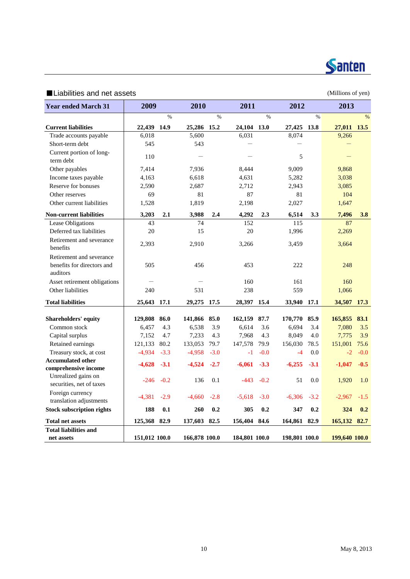

### ■Liabilities and net assets (Millions of yen) **Year ended March 31** %  $\%$  %  $\%$  %  $\%$ **Current liabilities 22,439 14.9 25,286 15.2 24,104 13.0 27,425 13.8 27,011 13.5** Trade accounts payable 6,018 5,600 6,031 8,074 9,266 Short-term debt 545 543 Current portion of long term debt  $110 - - - 5$ Other payables 2,414 7,414 7,936 8,444 9,009 9,868 Income taxes payable 4,163 6,618 4,631 5,282 3,038 Reserve for bonuses  $\begin{array}{ccc} \n 2.590 & 2.687 & 2.712 & 2.943 & 3.085\n \end{array}$ Other reserves 1 69 81 87 81 104 Other current liabilities 1,528 1,819 2,198 2,027 1,647 **Non-current liabilities 3,203 2.1 3,988 2.4 4,292 2.3 6,514 3.3 7,496 3.8** Lease Obligations 143 74 152 115 87 Deferred tax liabilities 1 20 15 20 1,996 2,269 Retirement and severance benefits **2,393** 2,910 3,266 3,459 3,664 Retirement and severance benefits for directors and auditors 505 456 453 222 248 Asset retirement obligations  $\begin{array}{ccc} - & - & 160 & 161 & 160 \end{array}$ Other liabilities 1,066 1,066 1,066 1,066 1,066 1,066 1,066 1,066 1,066 1,066 1,066 1,066 1,066 1,066 1,066 1,066 1,066 1,066 1,066 1,066 1,066 1,066 1,066 1,066 1,066 1,066 1,066 1,066 1,066 1,066 1,066 1,066 1,066 1,066 **Total liabilities 25,643 17.1 29,275 17.5 28,397 15.4 33,940 17.1 34,507 17.3 Shareholders' equity 129,808 86.0 141,866 85.0 162,159 87.7 170,770 85.9 165,855 83.1** Common stock 6,457 4.3 6,538 3.9 6,614 3.6 6,694 3.4 7,080 3.5 Capital surplus 7,152 4.7 7,233 4.3 7,968 4.3 8,049 4.0 7,775 3.9 Retained earnings 121,133 80.2 133,053 79.7 147,578 79.9 156,030 78.5 151,001 75.6 Treasury stock, at cost  $-4,934$   $-3.3$   $-4,958$   $-3.0$   $-1$   $-0.0$   $-4$   $0.0$   $-2$   $-0.0$ **Accumulated other comprehensive income -4,628 -3.1 -4,524 -2.7 -6,061 -3.3 -6,255 -3.1 -1,047 -0.5**  Unrealized gains on securities, net of taxes -246 -0.2 136 0.1 -443 -0.2 51 0.0 1,920 1.0 Foreign currency translation adjustments -4,381 -2.9 -4,660 -2.8 -5,618 -3.0 -6,306 -3.2 -2,967 -1.5 **Stock subscription rights 188 0.1 260 0.2 305 0.2 347 0.2 324 0.2** 0 0.0 0 0.0 0 0.0 0 0.0 0 0.0 **Total net assets 125,368 82.9 137,603 82.5 156,404 84.6 164,861 82.9 165,132 82.7 <sup>0</sup> 0.0 <sup>0</sup> 0.0 <sup>0</sup> 0.0 <sup>0</sup> 0.0 <sup>0</sup> 0.0 Total liabilities and net assets 151,012 100.0 166,878 100.0 184,801 100.0 198,801 100.0 199,640 100.0 2009 2010 2011 2012 2013**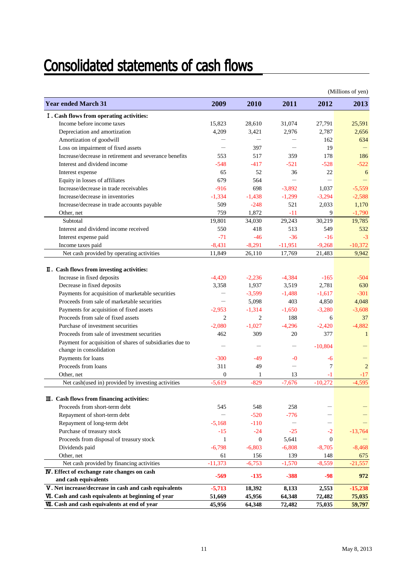# **Consolidated statements of cash flows**

| (Millions of yen)                                                                   |                |                          |                   |                          |                |  |  |  |
|-------------------------------------------------------------------------------------|----------------|--------------------------|-------------------|--------------------------|----------------|--|--|--|
| <b>Year ended March 31</b>                                                          | 2009           | 2010                     | 2011              | 2012                     | 2013           |  |  |  |
| I. Cash flows from operating activities:                                            |                |                          |                   |                          |                |  |  |  |
| Income before income taxes                                                          | 15,823         | 28,610                   | 31,074            | 27,791                   | 25,591         |  |  |  |
| Depreciation and amortization                                                       | 4,209          | 3,421                    | 2,976             | 2,787                    | 2,656          |  |  |  |
| Amortization of goodwill                                                            |                | $\overline{\phantom{0}}$ |                   | 162                      | 634            |  |  |  |
| Loss on impairment of fixed assets                                                  |                | 397                      |                   | 19                       |                |  |  |  |
| Increase/decrease in retirement and severance benefits                              | 553            | 517                      | 359               | 178                      | 186            |  |  |  |
| Interest and dividend income                                                        | $-548$         | $-417$                   | $-521$            | $-528$                   | $-522$         |  |  |  |
| Interest expense                                                                    | 65             | 52                       | 36                | 22                       | 6              |  |  |  |
| Equity in losses of affiliates                                                      | 679            | 564                      | $\qquad \qquad -$ | $\overline{\phantom{0}}$ |                |  |  |  |
| Increase/decrease in trade receivables                                              | $-916$         | 698                      | $-3,892$          | 1,037                    | $-5,559$       |  |  |  |
| Increase/decrease in inventories                                                    | $-1,334$       | $-1,438$                 | $-1,299$          | $-3,294$                 | $-2,588$       |  |  |  |
| Increase/decrease in trade accounts payable                                         | 509            | $-248$                   | 521               | 2,033                    | 1,170          |  |  |  |
| Other, net                                                                          | 759            | 1,872                    | $-11$             | 9                        | $-1,790$       |  |  |  |
| Subtotal                                                                            | 19,801         | 34,030                   | 29,243            | 30,219                   | 19,785         |  |  |  |
| Interest and dividend income received                                               | 550            | 418                      | 513               | 549                      | 532            |  |  |  |
| Interest expense paid                                                               | $-71$          | $-46$                    | $-36$             | $-16$                    | $-3$           |  |  |  |
| Income taxes paid                                                                   | $-8,431$       | $-8,291$                 | $-11,951$         | $-9,268$                 | $-10,372$      |  |  |  |
| Net cash provided by operating activities                                           | 11,849         | 26,110                   | 17,769            | 21,483                   | 9,942          |  |  |  |
|                                                                                     |                |                          |                   |                          |                |  |  |  |
| II. Cash flows from investing activities:                                           |                |                          |                   |                          |                |  |  |  |
| Increase in fixed deposits                                                          | $-4,420$       | $-2,236$                 | $-4,384$          | $-165$                   | $-504$         |  |  |  |
| Decrease in fixed deposits                                                          | 3,358          | 1,937                    | 3,519             | 2,781                    | 630            |  |  |  |
| Payments for acquisition of marketable securities                                   |                | $-3,599$                 | $-1,488$          | $-1,617$                 | $-301$         |  |  |  |
| Proceeds from sale of marketable securities                                         |                | 5,098                    | 403               | 4,850                    | 4,048          |  |  |  |
| Payments for acquisition of fixed assets                                            | $-2,953$       | $-1,314$                 | $-1,650$          | $-3,280$                 | $-3,608$       |  |  |  |
| Proceeds from sale of fixed assets                                                  | $\overline{2}$ | $\overline{c}$           | 188               | 6                        | 37             |  |  |  |
| Purchase of investment securities                                                   | $-2,080$       | $-1,027$                 | $-4,296$          | $-2,420$                 | $-4,882$       |  |  |  |
| Proceeds from sale of investment securities                                         | 462            | 309                      | 20                | 377                      | $\mathbf{1}$   |  |  |  |
| Payment for acquisition of shares of subsidiaries due to<br>change in consolidation |                |                          | —                 | $-10,804$                |                |  |  |  |
| Payments for loans                                                                  | $-300$         | -49                      | $-0$              | $-6$                     |                |  |  |  |
| Proceeds from loans                                                                 | 311            | 49                       |                   | 7                        | $\overline{2}$ |  |  |  |
| Other, net                                                                          | $\mathbf{0}$   | 1                        | 13                | $-1$                     | $-17$          |  |  |  |
| Net cash(used in) provided by investing activities                                  | $-5,619$       | $-829$                   | $-7,676$          | $-10,272$                | $-4,595$       |  |  |  |
| III. Cash flows from financing activities:                                          |                |                          |                   |                          |                |  |  |  |
| Proceeds from short-term debt                                                       | 545            | 548                      | 258               |                          |                |  |  |  |
| Repayment of short-term debt                                                        |                | $-520$                   | $-776$            |                          |                |  |  |  |
| Repayment of long-term debt                                                         | $-5,168$       | $-110$                   |                   |                          |                |  |  |  |
| Purchase of treasury stock                                                          | $-15$          | $-24$                    | $-25$             | $-2$                     | $-13,764$      |  |  |  |
| Proceeds from disposal of treasury stock                                            | $\mathbf{1}$   | $\boldsymbol{0}$         | 5,641             | $\boldsymbol{0}$         |                |  |  |  |
| Dividends paid                                                                      | $-6,798$       | $-6,803$                 | $-6,808$          | $-8,705$                 | $-8,468$       |  |  |  |
| Other, net                                                                          | 61             | 156                      | 139               | 148                      | 675            |  |  |  |
| Net cash provided by financing activities                                           | $-11,373$      |                          |                   |                          | $-21,557$      |  |  |  |
| <b>IV</b> . Effect of exchange rate changes on cash                                 |                | $-6,753$                 | $-1,570$          | $-8,559$                 |                |  |  |  |
| and cash equivalents                                                                | $-569$         | $-135$                   | $-388$            | $-98$                    | 972            |  |  |  |
| V. Net increase/decrease in cash and cash equivalents                               | $-5,713$       | 18,392                   | 8,133             | 2,553                    | $-15,238$      |  |  |  |
| VI. Cash and cash equivalents at beginning of year                                  | 51,669         | 45,956                   | 64,348            | 72,482                   | 75,035         |  |  |  |
| VII. Cash and cash equivalents at end of year                                       | 45,956         | 64,348                   | 72,482            | 75,035                   | 59,797         |  |  |  |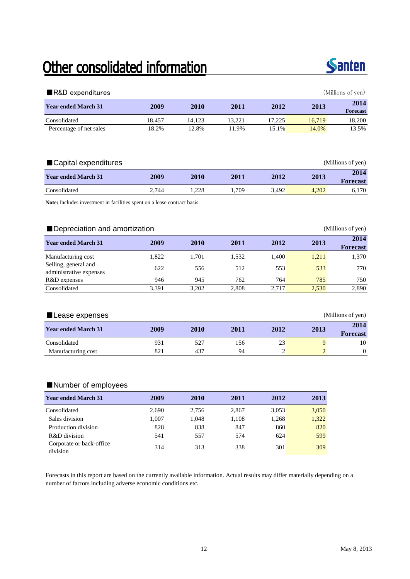# Other consolidated information



| $\blacksquare$ R&D expenditures |        | (Millions of yen) |        |        |        |                         |
|---------------------------------|--------|-------------------|--------|--------|--------|-------------------------|
| <b>Year ended March 31</b>      | 2009   | 2010              | 2011   | 2012   | 2013   | 2014<br><b>Forecast</b> |
| Consolidated                    | 18.457 | 14.123            | 13.221 | 17.225 | 16.719 | 18,200                  |
| Percentage of net sales         | 18.2%  | 12.8%             | 11.9%  | 15.1%  | 14.0%  | 13.5%                   |

## ■Capital expenditures (Millions of yen)

| ___<br>.                   |       |             |      |       |       |                 |
|----------------------------|-------|-------------|------|-------|-------|-----------------|
| <b>Year ended March 31</b> | 2009  | <b>2010</b> | 2011 | 2012  | 2013  | 2014            |
|                            |       |             |      |       |       | <b>Forecast</b> |
| Consolidated               | 2.744 | .228        | .709 | 3.492 | 4.202 | 6,170           |

**Note:** Includes investment in facilities spent on a lease contract basis.

## ■Depreciation and amortization (Millions of yen)

| <b>Year ended March 31</b>                      | 2009  | 2010  | 2011  | 2012  | 2013  | 2014<br><b>Forecast</b> |
|-------------------------------------------------|-------|-------|-------|-------|-------|-------------------------|
| Manufacturing cost                              | 1.822 | 1.701 | 1.532 | l.400 | 1,211 | 1,370                   |
| Selling, general and<br>administrative expenses | 622   | 556   | 512   | 553   | 533   | 770                     |
| R&D expenses                                    | 946   | 945   | 762   | 764   | 785   | 750                     |
| Consolidated                                    | 3,391 | 3,202 | 2,808 | 2,717 | 2,530 | 2,890                   |

## ■ Lease expenses (Millions of yen) **Year ended March 31 <sup>2009</sup> <sup>2010</sup> <sup>2011</sup> <sup>2012</sup> <sup>2013</sup> <sup>2014</sup> Forecast**  $\text{Consider } 10$  931 527 156 23 9 10 Manufacturing cost  $821$   $437$   $94$   $2$   $2$   $2$  0

### ■Number of employees

| <b>Year ended March 31</b>           | 2009  | 2010  | 2011  | 2012  | 2013  |
|--------------------------------------|-------|-------|-------|-------|-------|
| Consolidated                         | 2.690 | 2,756 | 2,867 | 3,053 | 3,050 |
| Sales division                       | 1.007 | 1,048 | 1,108 | 1,268 | 1,322 |
| Production division                  | 828   | 838   | 847   | 860   | 820   |
| R&D division                         | 541   | 557   | 574   | 624   | 599   |
| Corporate or back-office<br>division | 314   | 313   | 338   | 301   | 309   |

Forecasts in this report are based on the currently available information. Actual results may differ materially depending on a number of factors including adverse economic conditions etc.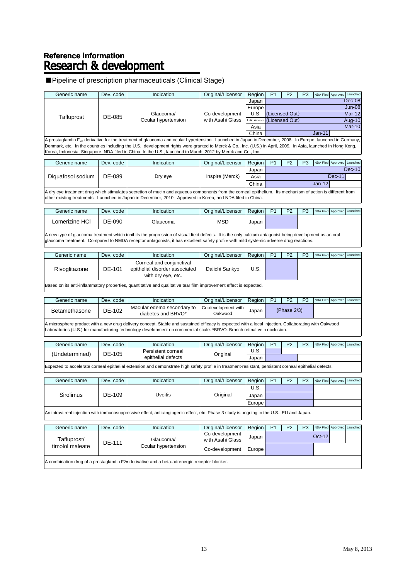# Reference information<br>**Research & development**

# ■Pipeline of prescription pharmaceuticals (Clinical Stage)

| Generic name                                                                                                                                                                                                                                                             | Dev. code | Indication                                                                                                                                                                                                                                                                      | Original/Licensor              | Region        | P <sub>1</sub> | P <sub>2</sub> | P <sub>3</sub> | NDA Filed Approved Launched |          |               |
|--------------------------------------------------------------------------------------------------------------------------------------------------------------------------------------------------------------------------------------------------------------------------|-----------|---------------------------------------------------------------------------------------------------------------------------------------------------------------------------------------------------------------------------------------------------------------------------------|--------------------------------|---------------|----------------|----------------|----------------|-----------------------------|----------|---------------|
|                                                                                                                                                                                                                                                                          |           |                                                                                                                                                                                                                                                                                 |                                | Japan         |                |                |                |                             |          | Dec-08        |
|                                                                                                                                                                                                                                                                          |           |                                                                                                                                                                                                                                                                                 |                                | Europe        |                |                |                |                             |          | $Jun-08$      |
|                                                                                                                                                                                                                                                                          |           | Glaucoma/                                                                                                                                                                                                                                                                       | Co-development                 | U.S.          |                | (Licensed Out) |                |                             |          | <b>Mar-12</b> |
| Tafluprost                                                                                                                                                                                                                                                               | DE-085    | Ocular hypertension                                                                                                                                                                                                                                                             | with Asahi Glass               | Latin America |                | (Licensed Out) |                |                             |          | Aug-10        |
|                                                                                                                                                                                                                                                                          |           |                                                                                                                                                                                                                                                                                 |                                | Asia          |                |                |                |                             |          | <b>Mar-10</b> |
|                                                                                                                                                                                                                                                                          |           |                                                                                                                                                                                                                                                                                 |                                | China         |                |                |                | $Jan-11$                    |          |               |
|                                                                                                                                                                                                                                                                          |           | A prostaglandin $F_{2a}$ derivative for the treatment of glaucoma and ocular hypertension. Launched in Japan in December, 2008. In Europe, launched in Germany,                                                                                                                 |                                |               |                |                |                |                             |          |               |
|                                                                                                                                                                                                                                                                          |           | Denmark, etc. In the countries including the U.S., development rights were granted to Merck & Co., Inc. (U.S.) in April, 2009. In Asia, launched in Hong Kong,                                                                                                                  |                                |               |                |                |                |                             |          |               |
|                                                                                                                                                                                                                                                                          |           | Korea, Indonesia, Singapore. NDA filed in China. In the U.S., launched in March, 2012 by Merck and Co., Inc.                                                                                                                                                                    |                                |               |                |                |                |                             |          |               |
| Generic name                                                                                                                                                                                                                                                             | Dev. code | Indication                                                                                                                                                                                                                                                                      | Original/Licensor              | Region        | P <sub>1</sub> | P <sub>2</sub> | P <sub>3</sub> | NDA Filed Approved Launched |          |               |
|                                                                                                                                                                                                                                                                          |           |                                                                                                                                                                                                                                                                                 |                                | Japan         |                |                |                |                             |          | Dec-10        |
| Diquafosol sodium                                                                                                                                                                                                                                                        | DE-089    | Dry eye                                                                                                                                                                                                                                                                         | Inspire (Merck)                | Asia          |                |                |                |                             | Dec-11   |               |
|                                                                                                                                                                                                                                                                          |           |                                                                                                                                                                                                                                                                                 |                                |               |                |                |                | $Jan-12$                    |          |               |
|                                                                                                                                                                                                                                                                          |           |                                                                                                                                                                                                                                                                                 |                                | China         |                |                |                |                             |          |               |
| A dry eye treatment drug which stimulates secretion of mucin and aqueous components from the corneal epithelium. Its mechanism of action is different from<br>other existing treatments. Launched in Japan in December, 2010. Approved in Korea, and NDA filed in China. |           |                                                                                                                                                                                                                                                                                 |                                |               |                |                |                |                             |          |               |
|                                                                                                                                                                                                                                                                          |           |                                                                                                                                                                                                                                                                                 |                                |               |                |                |                |                             |          |               |
| Generic name                                                                                                                                                                                                                                                             | Dev. code | Indication                                                                                                                                                                                                                                                                      | Original/Licensor              | Region        | P <sub>1</sub> | P <sub>2</sub> | P <sub>3</sub> | NDA Filed                   | Approved | Launched      |
| Lomerizine HCI                                                                                                                                                                                                                                                           | DE-090    | Glaucoma                                                                                                                                                                                                                                                                        | <b>MSD</b>                     | Japan         |                |                |                |                             |          |               |
|                                                                                                                                                                                                                                                                          |           | A new type of glaucoma treatment which inhibits the progression of visual field defects. It is the only calcium antagonist being development as an oral                                                                                                                         |                                |               |                |                |                |                             |          |               |
| glaucoma treatment. Compared to NMDA receptor antagonists, it has excellent safety profile with mild systemic adverse drug reactions.                                                                                                                                    |           |                                                                                                                                                                                                                                                                                 |                                |               |                |                |                |                             |          |               |
| Generic name                                                                                                                                                                                                                                                             | Dev. code | Indication                                                                                                                                                                                                                                                                      | Original/Licensor              | Region        | P <sub>1</sub> | P <sub>2</sub> | P <sub>3</sub> | NDA Filed Approved          |          | Launched      |
| Rivoglitazone                                                                                                                                                                                                                                                            | DE-101    | Corneal and conjunctival<br>epithelial disorder associated                                                                                                                                                                                                                      | Daiichi Sankyo                 | U.S.          |                |                |                |                             |          |               |
|                                                                                                                                                                                                                                                                          |           | with dry eye, etc.                                                                                                                                                                                                                                                              |                                |               |                |                |                |                             |          |               |
|                                                                                                                                                                                                                                                                          |           | Based on its anti-inflammatory properties, quantitative and qualitative tear film improvement effect is expected.                                                                                                                                                               |                                |               |                |                |                |                             |          |               |
| Generic name                                                                                                                                                                                                                                                             | Dev. code | Indication                                                                                                                                                                                                                                                                      | Original/Licensor              | Region        | P <sub>1</sub> | P <sub>2</sub> | P <sub>3</sub> | NDA Filed                   | Approved | Launched      |
| Betamethasone                                                                                                                                                                                                                                                            | DE-102    | Macular edema secondary to<br>diabetes and BRVO*                                                                                                                                                                                                                                | Co-development with<br>Oakwood | Japan         |                | (Phase 2/3)    |                |                             |          |               |
|                                                                                                                                                                                                                                                                          |           | A microsphere product with a new drug delivery concept. Stable and sustained efficacy is expected with a local injection. Collaborating with Oakwood<br>Laboratories (U.S.) for manufacturing technology development on commercial scale. *BRVO: Branch retinal vein occlusion. |                                |               |                |                |                |                             |          |               |
|                                                                                                                                                                                                                                                                          |           |                                                                                                                                                                                                                                                                                 |                                |               |                |                |                |                             |          |               |
| Generic name                                                                                                                                                                                                                                                             | Dev. code | Indication                                                                                                                                                                                                                                                                      | Original/Licensor              | Region        | P <sub>1</sub> | P <sub>2</sub> | P <sub>3</sub> | NDA Filed Approved Launched |          |               |
|                                                                                                                                                                                                                                                                          |           | Persistent corneal                                                                                                                                                                                                                                                              |                                | U.S.          |                |                |                |                             |          |               |
| (Undetermined)                                                                                                                                                                                                                                                           | DE-105    | epithelial defects                                                                                                                                                                                                                                                              | Original                       | Japan         |                |                |                |                             |          |               |
|                                                                                                                                                                                                                                                                          |           | Expected to accelerate corneal epithelial extension and demonstrate high safety profile in treatment-resistant, persistent corneal epithelial defects.                                                                                                                          |                                |               |                |                |                |                             |          |               |
|                                                                                                                                                                                                                                                                          |           |                                                                                                                                                                                                                                                                                 |                                |               |                |                |                |                             |          |               |
| Generic name                                                                                                                                                                                                                                                             | Dev. code | Indication                                                                                                                                                                                                                                                                      | Original/Licensor              | Region        | P <sub>1</sub> | P <sub>2</sub> | P <sub>3</sub> | NDA Filed Approved Launched |          |               |
|                                                                                                                                                                                                                                                                          |           |                                                                                                                                                                                                                                                                                 |                                | U.S.          |                |                |                |                             |          |               |
| Sirolimus                                                                                                                                                                                                                                                                | DE-109    | <b>Uveitis</b>                                                                                                                                                                                                                                                                  | Original                       |               |                |                |                |                             |          |               |
|                                                                                                                                                                                                                                                                          |           |                                                                                                                                                                                                                                                                                 |                                | Japan         |                |                |                |                             |          |               |
|                                                                                                                                                                                                                                                                          |           |                                                                                                                                                                                                                                                                                 |                                | Europe        |                |                |                |                             |          |               |
|                                                                                                                                                                                                                                                                          |           | An intravitreal injection with immunosuppressive effect, anti-angiogenic effect, etc. Phase 3 study is ongoing in the U.S., EU and Japan.                                                                                                                                       |                                |               |                |                |                |                             |          |               |
| Generic name                                                                                                                                                                                                                                                             | Dev. code | Indication                                                                                                                                                                                                                                                                      | Original/Licensor              | Region        | P <sub>1</sub> | P <sub>2</sub> | P <sub>3</sub> | NDA Filed                   | Approved | Launched      |
|                                                                                                                                                                                                                                                                          |           |                                                                                                                                                                                                                                                                                 | Co-development                 | Japan         |                |                |                | Oct-12                      |          |               |
| Tafluprost/                                                                                                                                                                                                                                                              | DE-111    | Glaucoma/                                                                                                                                                                                                                                                                       | with Asahi Glass               |               |                |                |                |                             |          |               |
| timolol maleate                                                                                                                                                                                                                                                          |           | Ocular hypertension                                                                                                                                                                                                                                                             | Co-development                 | Europe        |                |                |                |                             |          |               |
|                                                                                                                                                                                                                                                                          |           | A combination drug of a prostaglandin $F_2\alpha$ derivative and a beta-adrenergic receptor blocker.                                                                                                                                                                            |                                |               |                |                |                |                             |          |               |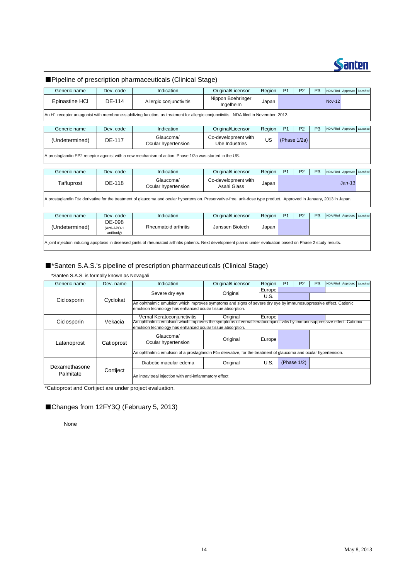

■Pipeline of prescription pharmaceuticals (Clinical Stage)

| Generic name                                                                                                                                                         | Dev. code                          | Indication                                                                                                                           | Original/Licensor                     | Region    | P <sub>1</sub> | P <sub>2</sub> | P <sub>3</sub> | NDA Filed                       | Approved | Launched |
|----------------------------------------------------------------------------------------------------------------------------------------------------------------------|------------------------------------|--------------------------------------------------------------------------------------------------------------------------------------|---------------------------------------|-----------|----------------|----------------|----------------|---------------------------------|----------|----------|
| Epinastine HCI                                                                                                                                                       | DE-114                             | Allergic conjunctivitis                                                                                                              | Nippon Boehringer<br>Ingelheim        | Japan     |                |                |                | <b>Nov-12</b>                   |          |          |
|                                                                                                                                                                      |                                    | An H1 receptor antagonist with membrane-stabilizing function, as treatment for allergic conjunctivitis. NDA filed in November, 2012. |                                       |           |                |                |                |                                 |          |          |
| Generic name                                                                                                                                                         | Dev. code                          | Indication                                                                                                                           | Original/Licensor                     | Region    | P <sub>1</sub> | P <sub>2</sub> | P <sub>3</sub> | NDA Filed                       | Approved | Launched |
| (Undetermined)                                                                                                                                                       | DE-117                             | Glaucoma/<br>Ocular hypertension                                                                                                     | Co-development with<br>Ube Industries | <b>US</b> |                | (Phase 1/2a)   |                |                                 |          |          |
| A prostaglandin EP2 receptor agonist with a new mechanism of action. Phase 1/2a was started in the US.                                                               |                                    |                                                                                                                                      |                                       |           |                |                |                |                                 |          |          |
| Generic name                                                                                                                                                         | Dev. code                          | Indication                                                                                                                           | Original/Licensor                     | Region    | P <sub>1</sub> | P <sub>2</sub> | P <sub>3</sub> | NDA Filed                       | Approved | Launched |
| Tafluprost                                                                                                                                                           | DE-118                             | Glaucoma/<br>Ocular hypertension                                                                                                     | Co-development with<br>Asahi Glass    | Japan     |                |                |                |                                 | $Jan-13$ |          |
| A prostaglandin F2a derivative for the treatment of glaucoma and ocular hypertension. Preservative-free, unit-dose type product. Approved in January, 2013 in Japan. |                                    |                                                                                                                                      |                                       |           |                |                |                |                                 |          |          |
| Generic name                                                                                                                                                         | Dev. code                          | Indication                                                                                                                           | Original/Licensor                     | Region    | P <sub>1</sub> | P <sub>2</sub> | P <sub>3</sub> | NDA Filed   Approved   Launched |          |          |
| (Undetermined)                                                                                                                                                       | DE-098<br>(Anti-APO-1<br>antibody) | Rheumatoid arthritis                                                                                                                 | Janssen Biotech                       | Japan     |                |                |                |                                 |          |          |

A joint injection inducing apoptosis in diseased joints of rheumatoid arthritis patients. Next development plan is under evaluation based on Phase 2 study results.

### ■\*Santen S.A.S.'s pipeline of prescription pharmaceuticals (Clinical Stage)

\*Santen S.A.S. is formally known as Novagali

| Generic name            | Dev. name  | Indication                                                                                                                                                                            | Original/Licensor | Region <sup>1</sup> | P <sub>1</sub> | P <sub>2</sub> | P <sub>3</sub> |  | NDA Filed   Approved   Launched |  |  |
|-------------------------|------------|---------------------------------------------------------------------------------------------------------------------------------------------------------------------------------------|-------------------|---------------------|----------------|----------------|----------------|--|---------------------------------|--|--|
|                         |            |                                                                                                                                                                                       | Original          | Europe              |                |                |                |  |                                 |  |  |
|                         |            | Severe dry eye                                                                                                                                                                        |                   | U.S.                |                |                |                |  |                                 |  |  |
| Cyclokat<br>Ciclosporin |            | An ophthalmic emulsion which improves symptoms and signs of severe dry eye by immunosuppressive effect. Cationic<br>emulsion technology has enhanced ocular tissue absorption.        |                   |                     |                |                |                |  |                                 |  |  |
|                         |            | Vernal Keratoconjunctivitis                                                                                                                                                           | Original          | Europe              |                |                |                |  |                                 |  |  |
| Ciclosporin             | Vekacia    | An ophthalmic emulsion which improves the symptoms of vernal keratoconjunctivitis by immunosuppressive effect. Cationic<br>emulsion technology has enhanced ocular tissue absorption. |                   |                     |                |                |                |  |                                 |  |  |
| Latanoprost             | Catioprost | Glaucoma/<br>Ocular hypertension                                                                                                                                                      | Original          | Europe              |                |                |                |  |                                 |  |  |
|                         |            | An ophthalmic emulsion of a prostaglandin $F2\alpha$ derivative, for the treatment of glaucoma and ocular hypertension.                                                               |                   |                     |                |                |                |  |                                 |  |  |
| Dexamethasone           |            | Diabetic macular edema                                                                                                                                                                | Original          | <b>U.S.</b>         |                | (Phase $1/2$ ) |                |  |                                 |  |  |
| Palmitate               | Cortiject  | An intravitreal injection with anti-inflammatory effect.                                                                                                                              |                   |                     |                |                |                |  |                                 |  |  |

\*Catioprost and Cortiject are under project evaluation.

# ■Changes from 12FY3Q (February 5, 2013)

None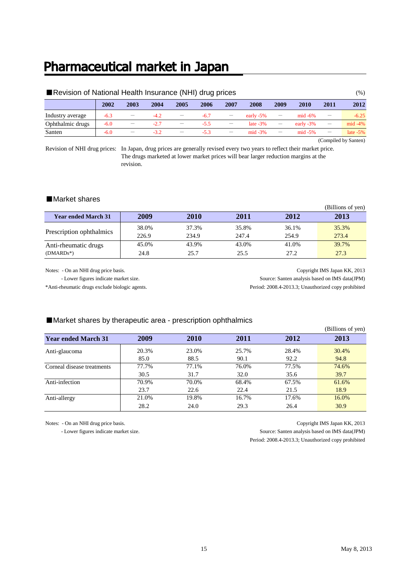# Pharmaceutical market in Japan

| Revision of National Health Insurance (NHI) drug prices |        |                          |        |      |        |                          |              |                   |              |                                |             |
|---------------------------------------------------------|--------|--------------------------|--------|------|--------|--------------------------|--------------|-------------------|--------------|--------------------------------|-------------|
|                                                         | 2002   | 2003                     | 2004   | 2005 | 2006   | 2007                     | 2008         | 2009              | 2010         | 2011                           | 2012        |
| Industry average                                        | $-6.3$ |                          | $-4.2$ |      | $-6.7$ |                          | early $-5\%$ |                   | $mid -6\%$   | $\qquad \qquad \longleftarrow$ | $-6.25$     |
| Ophthalmic drugs                                        | $-6.0$ | $\overline{\phantom{0}}$ | $-2.7$ | —    | $-5.5$ | $\overline{\phantom{m}}$ | late $-3\%$  |                   | early $-3\%$ | $\equiv$                       | $mid -4\%$  |
| Santen                                                  | $-6.0$ | -                        | $-3.2$ |      | $-5.3$ | $\overline{\phantom{m}}$ | $mid -3%$    | $\longrightarrow$ | $mid -5%$    | $\overline{\phantom{m}}$       | late $-5\%$ |

(Compiled by Santen)

Revision of NHI drug prices: In Japan, drug prices are generally revised every two years to reflect their market price. The drugs marketed at lower market prices will bear larger reduction margins at the revision.

## ■Market shares

|                            |       |       |       |       | (Billions of yen) |
|----------------------------|-------|-------|-------|-------|-------------------|
| <b>Year ended March 31</b> | 2009  | 2010  | 2011  | 2012  | 2013              |
| Prescription ophthalmics   | 38.0% | 37.3% | 35.8% | 36.1% | 35.3%             |
|                            | 226.9 | 234.9 | 247.4 | 254.9 | 273.4             |
| Anti-rheumatic drugs       | 45.0% | 43.9% | 43.0% | 41.0% | 39.7%             |
| $(DMARDs^*)$               | 24.8  | 25.7  | 25.5  | 27.2  | 27.3              |

\*Anti-rheumatic drugs exclude biologic agents. Period: 2008.4-2013.3; Unauthorized copy prohibited

Notes: - On an NHI drug price basis. Copyright IMS Japan KK, 2013 - Lower figures indicate market size. Source: Santen analysis based on IMS data(JPM)

### ■Market shares by therapeutic area - prescription ophthalmics

|                            |       |             |       |       | (Billions of yen) |
|----------------------------|-------|-------------|-------|-------|-------------------|
| <b>Year ended March 31</b> | 2009  | <b>2010</b> | 2011  | 2012  | 2013              |
| Anti-glaucoma              | 20.3% | 23.0%       | 25.7% | 28.4% | 30.4%             |
|                            | 85.0  | 88.5        | 90.1  | 92.2  | 94.8              |
| Corneal disease treatments | 77.7% | 77.1%       | 76.0% | 77.5% | 74.6%             |
|                            | 30.5  | 31.7        | 32.0  | 35.6  | 39.7              |
| Anti-infection             | 70.9% | 70.0%       | 68.4% | 67.5% | 61.6%             |
|                            | 23.7  | 22.6        | 22.4  | 21.5  | 18.9              |
| Anti-allergy               | 21.0% | 19.8%       | 16.7% | 17.6% | 16.0%             |
|                            | 28.2  | 24.0        | 29.3  | 26.4  | 30.9              |

Notes: - On an NHI drug price basis. Copyright IMS Japan KK, 2013

 - Lower figures indicate market size. Source: Santen analysis based on IMS data(JPM) Period: 2008.4-2013.3; Unauthorized copy prohibited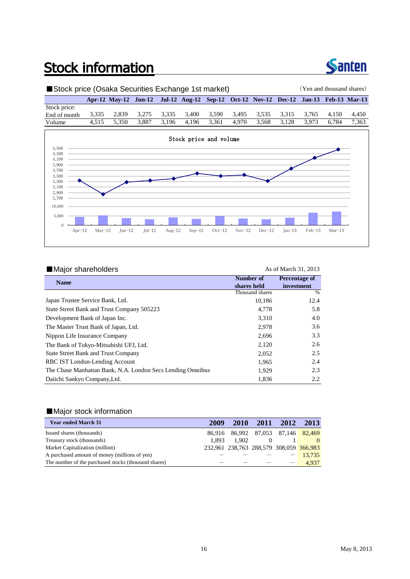# **Stock information**



# ■Stock price (Osaka Securities Exchange 1st market) (Yen and thousand shares) **Apr-12 May-12 Jun-12 Jul-12 Aug-12 Sep-12 Oct-12 Nov-12 Dec-12 Jan-13 Feb-13 Mar-13** Stock price: End of month 3,335 2,839 3,275 3,335 3,400 3,590 3,495 3,535 3,315 3,765 4,150 4,450<br>Volume 4,515 5,350 3,887 3,196 4,196 3,361 4,970 3,568 3,128 3,973 6,784 7,363 Volume 4,515 5,350 3,887 3,196 4,196 3,361 4,970 3,568 3,128 3,973 6,784 7,363 Stock price and volume



| Major shareholders                                         |                          | As of March 31, 2013               |
|------------------------------------------------------------|--------------------------|------------------------------------|
| <b>Name</b>                                                | Number of<br>shares held | <b>Percentage of</b><br>investment |
|                                                            | Thousand shares          | $\%$                               |
| Japan Trustee Service Bank, Ltd.                           | 10,186                   | 12.4                               |
| State Street Bank and Trust Company 505223                 | 4,778                    | 5.8                                |
| Development Bank of Japan Inc.                             | 3,310                    | 4.0                                |
| The Master Trust Bank of Japan, Ltd.                       | 2,978                    | 3.6                                |
| Nippon Life Insurance Company                              | 2,696                    | 3.3                                |
| The Bank of Tokyo-Mitsubishi UFJ, Ltd.                     | 2,120                    | 2.6                                |
| <b>State Street Bank and Trust Company</b>                 | 2,052                    | 2.5                                |
| RBC IST London-Lending Account                             | 1,965                    | 2.4                                |
| The Chase Manhattan Bank, N.A. London Secs Lending Omnibus | 1,929                    | 2.3                                |
| Daiichi Sankyo Company, Ltd.                               | 1,836                    | 2.2                                |

### ■Major stock information

| <b>Year ended March 31</b>                           | 2009  | <b>2010</b>                             | 2011     | 2012 | 2013      |
|------------------------------------------------------|-------|-----------------------------------------|----------|------|-----------|
| Issued shares (thousands)                            |       | 86,916 86,992 87,053 87,146 82,469      |          |      |           |
| Treasury stock (thousands)                           | 1.893 | 1.902                                   | $\left($ |      | $\Omega$  |
| Market Capitalization (million)                      |       | 232,961 238,763 288,579 308,059 366,983 |          |      |           |
| A purchased amount of money (millions of yen)        |       |                                         |          |      | $-13.735$ |
| The number of the purchased stocks (thousand shares) |       |                                         |          |      | 4.937     |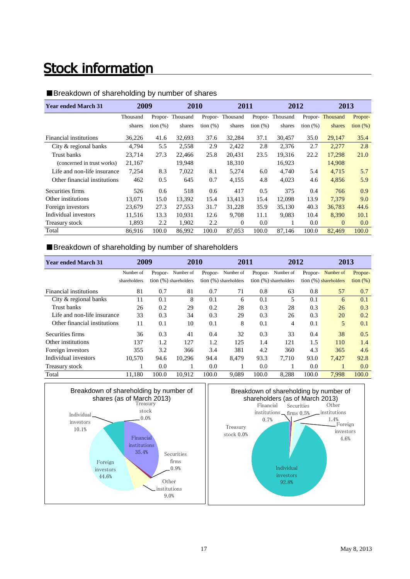# **Stock information**

### ■Breakdown of shareholding by number of shares

| <b>Year ended March 31</b>   | 2009     |             | 2010     |             | 2011            |             | 2012            |             | 2013            |                   |
|------------------------------|----------|-------------|----------|-------------|-----------------|-------------|-----------------|-------------|-----------------|-------------------|
|                              | Thousand | Propor-     | Thousand |             | Propor-Thousand |             | Propor-Thousand |             | Propor-Thousand | Propor-           |
|                              | shares   | tion $(\%)$ | shares   | tion $(\%)$ | shares          | tion $(\%)$ | shares          | tion $(\%)$ | shares          | $\frac{1}{2}$ (%) |
| Financial institutions       | 36,226   | 41.6        | 32,693   | 37.6        | 32,284          | 37.1        | 30,457          | 35.0        | 29,147          | 35.4              |
| City & regional banks        | 4,794    | 5.5         | 2,558    | 2.9         | 2,422           | 2.8         | 2,376           | 2.7         | 2,277           | 2.8               |
| Trust banks                  | 23,714   | 27.3        | 22,466   | 25.8        | 20.431          | 23.5        | 19,316          | 22.2        | 17.298          | 21.0              |
| (concerned in trust works)   | 21,167   |             | 19,948   |             | 18,310          |             | 16,923          |             | 14,908          |                   |
| Life and non-life insurance  | 7,254    | 8.3         | 7,022    | 8.1         | 5,274           | 6.0         | 4,740           | 5.4         | 4,715           | 5.7               |
| Other financial institutions | 462      | 0.5         | 645      | 0.7         | 4,155           | 4.8         | 4,023           | 4.6         | 4,856           | 5.9               |
| Securities firms             | 526      | 0.6         | 518      | 0.6         | 417             | 0.5         | 375             | 0.4         | 766             | 0.9               |
| Other institutions           | 13.071   | 15.0        | 13.392   | 15.4        | 13.413          | 15.4        | 12.098          | 13.9        | 7.379           | 9.0               |
| Foreign investors            | 23,679   | 27.3        | 27,553   | 31.7        | 31,228          | 35.9        | 35,130          | 40.3        | 36,783          | 44.6              |
| Individual investors         | 11,516   | 13.3        | 10.931   | 12.6        | 9.708           | 11.1        | 9.083           | 10.4        | 8,390           | 10.1              |
| Treasury stock               | 1,893    | 2.2         | 1,902    | 2.2         | $\mathbf{0}$    | 0.0         |                 | 0.0         | $\mathbf{0}$    | 0.0               |
| Total                        | 86.916   | 100.0       | 86,992   | 100.0       | 87,053          | 100.0       | 87.146          | 100.0       | 82,469          | 100.0             |

## ■Breakdown of shareholding by number of shareholders

| <b>Year ended March 31</b>   | 2009         |         | 2010                     |         | 2011                    |         | 2012                    |         | 2013                  |                   |
|------------------------------|--------------|---------|--------------------------|---------|-------------------------|---------|-------------------------|---------|-----------------------|-------------------|
|                              | Number of    | Propor- | Number of                | Propor- | Number of               | Propor- | Number of               | Propor- | Number of             | Propor-           |
|                              | shareholders |         | tion $(\%)$ shareholders |         | tion $(%)$ shareholders |         | tion $(%)$ shareholders |         | tion (%) shareholders | $\frac{1}{2}$ (%) |
| Financial institutions       | 81           | 0.7     | 81                       | 0.7     | 71                      | 0.8     | 63                      | 0.8     | 57                    | 0.7               |
| City & regional banks        | 11           | 0.1     | 8                        | 0.1     | 6                       | 0.1     | 5                       | 0.1     | 6                     | 0.1               |
| Trust banks                  | 26           | 0.2     | 29                       | 0.2     | 28                      | 0.3     | 28                      | 0.3     | 26                    | 0.3               |
| Life and non-life insurance  | 33           | 0.3     | 34                       | 0.3     | 29                      | 0.3     | 26                      | 0.3     | 20                    | 0.2               |
| Other financial institutions | 11           | 0.1     | 10                       | 0.1     | 8                       | 0.1     | 4                       | 0.1     | 5                     | 0.1               |
| Securities firms             | 36           | 0.3     | 41                       | 0.4     | 32                      | 0.3     | 33                      | 0.4     | 38                    | 0.5               |
| Other institutions           | 137          | 1.2     | 127                      | 1.2     | 125                     | 1.4     | 121                     | 1.5     | 110                   | 1.4               |
| Foreign investors            | 355          | 3.2     | 366                      | 3.4     | 381                     | 4.2     | 360                     | 4.3     | 365                   | 4.6               |
| Individual investors         | 10,570       | 94.6    | 10,296                   | 94.4    | 8.479                   | 93.3    | 7.710                   | 93.0    | 7,427                 | 92.8              |
| Treasury stock               |              | 0.0     |                          | 0.0     |                         | 0.0     |                         | 0.0     |                       | 0.0               |
| Total                        | 11,180       | 100.0   | 10,912                   | 100.0   | 9.089                   | 100.0   | 8,288                   | 100.0   | 7,998                 | 100.0             |



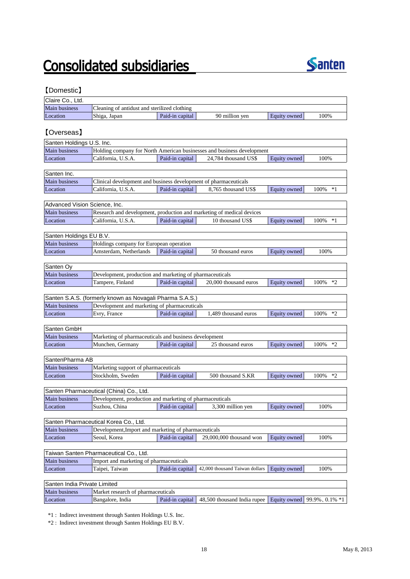# **Consolidated subsidiaries**



## 【Domestic】

| Claire Co., Ltd.              |                                                                  |                 |                                                                        |              |                                   |
|-------------------------------|------------------------------------------------------------------|-----------------|------------------------------------------------------------------------|--------------|-----------------------------------|
| Main business                 | Cleaning of antidust and sterilized clothing                     |                 |                                                                        |              |                                   |
| Location                      | Shiga, Japan                                                     | Paid-in capital | 90 million yen                                                         | Equity owned | 100%                              |
| [Overseas]                    |                                                                  |                 |                                                                        |              |                                   |
| Santen Holdings U.S. Inc.     |                                                                  |                 |                                                                        |              |                                   |
| <b>Main business</b>          |                                                                  |                 | Holding company for North American businesses and business development |              |                                   |
| Location                      | California, U.S.A.                                               | Paid-in capital | 24,784 thousand US\$                                                   | Equity owned | 100%                              |
| Santen Inc.                   |                                                                  |                 |                                                                        |              |                                   |
| Main business                 | Clinical development and business development of pharmaceuticals |                 |                                                                        |              |                                   |
| Location                      | California, U.S.A.                                               | Paid-in capital | 8,765 thousand US\$                                                    | Equity owned | $*1$<br>100%                      |
|                               |                                                                  |                 |                                                                        |              |                                   |
| Advanced Vision Science, Inc. |                                                                  |                 |                                                                        |              |                                   |
| Main business                 |                                                                  |                 | Research and development, production and marketing of medical devices  |              |                                   |
| Location                      | California, U.S.A.                                               | Paid-in capital | 10 thousand US\$                                                       | Equity owned | 100%<br>$*1$                      |
| Santen Holdings EU B.V.       |                                                                  |                 |                                                                        |              |                                   |
| Main business                 | Holdings company for European operation                          |                 |                                                                        |              |                                   |
| Location                      | Amsterdam, Netherlands                                           | Paid-in capital | 50 thousand euros                                                      | Equity owned | 100%                              |
|                               |                                                                  |                 |                                                                        |              |                                   |
| Santen Oy                     |                                                                  |                 |                                                                        |              |                                   |
| Main business                 | Development, production and marketing of pharmaceuticals         |                 |                                                                        |              |                                   |
| Location                      | Tampere, Finland                                                 | Paid-in capital | 20,000 thousand euros                                                  | Equity owned | 100%<br>$*2$                      |
|                               |                                                                  |                 |                                                                        |              |                                   |
|                               | Santen S.A.S. (formerly known as Novagali Pharma S.A.S.)         |                 |                                                                        |              |                                   |
| Main business                 | Development and marketing of pharmaceuticals                     |                 |                                                                        |              |                                   |
| Location                      | Evry, France                                                     | Paid-in capital | 1,489 thousand euros                                                   | Equity owned | 100%<br>$*2$                      |
| Santen GmbH                   |                                                                  |                 |                                                                        |              |                                   |
| <b>Main business</b>          | Marketing of pharmaceuticals and business development            |                 |                                                                        |              |                                   |
| Location                      | Munchen, Germany                                                 | Paid-in capital | 25 thousand euros                                                      | Equity owned | 100%<br>$*2$                      |
|                               |                                                                  |                 |                                                                        |              |                                   |
| SantenPharma AB               |                                                                  |                 |                                                                        |              |                                   |
| Main business                 | Marketing support of pharmaceuticals                             |                 |                                                                        |              |                                   |
| Location                      | Stockholm, Sweden                                                | Paid-in capital | 500 thousand S.KR                                                      | Equity owned | 100%<br>$*2$                      |
|                               |                                                                  |                 |                                                                        |              |                                   |
|                               | Santen Pharmaceutical (China) Co., Ltd.                          |                 |                                                                        |              |                                   |
| Main business                 | Development, production and marketing of pharmaceuticals         |                 |                                                                        |              |                                   |
| Location                      | Suzhou, China                                                    | Paid-in capital | 3,300 million yen                                                      | Equity owned | 100%                              |
|                               | Santen Pharmaceutical Korea Co., Ltd.                            |                 |                                                                        |              |                                   |
| <b>Main business</b>          | Development, Import and marketing of pharmaceuticals             |                 |                                                                        |              |                                   |
| Location                      | Seoul, Korea                                                     | Paid-in capital | 29,000,000 thousand won                                                | Equity owned | 100%                              |
|                               |                                                                  |                 |                                                                        |              |                                   |
|                               | Taiwan Santen Pharmaceutical Co., Ltd.                           |                 |                                                                        |              |                                   |
| Main business                 | Import and marketing of pharmaceuticals                          |                 |                                                                        |              |                                   |
| Location                      | Taipei, Taiwan                                                   | Paid-in capital | 42,000 thousand Taiwan dollars                                         | Equity owned | 100%                              |
|                               |                                                                  |                 |                                                                        |              |                                   |
| Santen India Private Limited  |                                                                  |                 |                                                                        |              |                                   |
| Main business                 | Market research of pharmaceuticals                               |                 |                                                                        |              |                                   |
| Location                      | Bangalore, India                                                 | Paid-in capital | 48,500 thousand India rupee                                            |              | Equity owned $99.9\%$ , 0.1% $*1$ |

\*1 : Indirect investment through Santen Holdings U.S. Inc.

\*2 : Indirect investment through Santen Holdings EU B.V.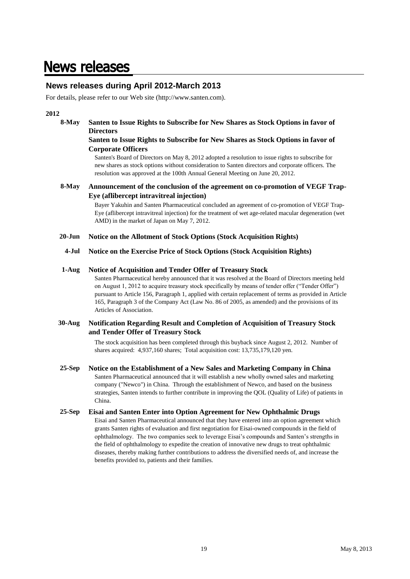# **News releases**

## **News releases during April 2012-March 2013**

For details, please refer to our Web site (http://www.santen.com).

### **2012**

**8-May Santen to Issue Rights to Subscribe for New Shares as Stock Options in favor of Directors**

### **Santen to Issue Rights to Subscribe for New Shares as Stock Options in favor of Corporate Officers**

Santen's Board of Directors on May 8, 2012 adopted a resolution to issue rights to subscribe for new shares as stock options without consideration to Santen directors and corporate officers. The resolution was approved at the 100th Annual General Meeting on June 20, 2012.

#### **8-May Announcement of the conclusion of the agreement on co-promotion of VEGF Trap-Eye (aflibercept intravitreal injection)**

Bayer Yakuhin and Santen Pharmaceutical concluded an agreement of co-promotion of VEGF Trap-Eye (aflibercept intravitreal injection) for the treatment of wet age-related macular degeneration (wet AMD) in the market of Japan on May 7, 2012.

**20-Jun Notice on the Allotment of Stock Options (Stock Acquisition Rights)**

#### **4-Jul Notice on the Exercise Price of Stock Options (Stock Acquisition Rights)**

#### **1-Aug Notice of Acquisition and Tender Offer of Treasury Stock**

Santen Pharmaceutical hereby announced that it was resolved at the Board of Directors meeting held on August 1, 2012 to acquire treasury stock specifically by means of tender offer ("Tender Offer") pursuant to Article 156, Paragraph 1, applied with certain replacement of terms as provided in Article 165, Paragraph 3 of the Company Act (Law No. 86 of 2005, as amended) and the provisions of its Articles of Association.

#### **30-Aug Notification Regarding Result and Completion of Acquisition of Treasury Stock and Tender Offer of Treasury Stock**

The stock acquisition has been completed through this buyback since August 2, 2012. Number of shares acquired: 4,937,160 shares; Total acquisition cost: 13,735,179,120 yen.

**25-Sep Notice on the Establishment of a New Sales and Marketing Company in China** Santen Pharmaceutical announced that it will establish a new wholly owned sales and marketing company ("Newco") in China. Through the establishment of Newco, and based on the business strategies, Santen intends to further contribute in improving the QOL (Quality of Life) of patients in China.

#### **25-Sep Eisai and Santen Enter into Option Agreement for New Ophthalmic Drugs**

Eisai and Santen Pharmaceutical announced that they have entered into an option agreement which grants Santen rights of evaluation and first negotiation for Eisai-owned compounds in the field of ophthalmology. The two companies seek to leverage Eisai's compounds and Santen's strengths in the field of ophthalmology to expedite the creation of innovative new drugs to treat ophthalmic diseases, thereby making further contributions to address the diversified needs of, and increase the benefits provided to, patients and their families.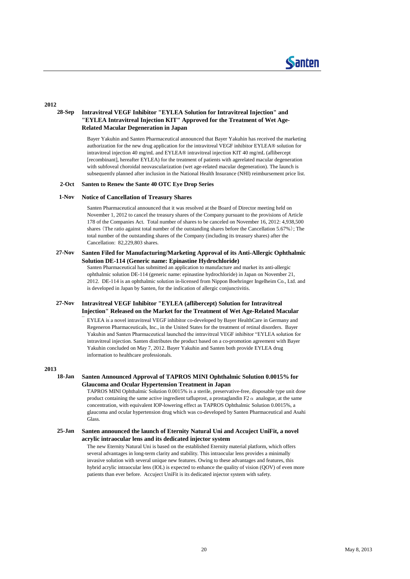

## **2012**

### **28-Sep Intravitreal VEGF Inhibitor "EYLEA Solution for Intravitreal Injection" and "EYLEA Intravitreal Injection KIT" Approved for the Treatment of Wet Age-Related Macular Degeneration in Japan**

Bayer Yakuhin and Santen Pharmaceutical announced that Bayer Yakuhin has received the marketing authorization for the new drug application for the intravitreal VEGF inhibitor EYLEA® solution for intravitreal injection 40 mg/mL and EYLEA® intravitreal injection KIT 40 mg/mL (aflibercept [recombinant], hereafter EYLEA) for the treatment of patients with agerelated macular degeneration with subfoveal choroidal neovascularization (wet age-related macular degeneration). The launch is subsequently planned after inclusion in the National Health Insurance (NHI) reimbursement price list.

### **2-Oct Santen to Renew the Sante 40 OTC Eye Drop Series**

#### **1-Nov Notice of Cancellation of Treasury Shares**

Santen Pharmaceutical announced that it was resolved at the Board of Director meeting held on November 1, 2012 to cancel the treasury shares of the Company pursuant to the provisions of Article 178 of the Companies Act. Total number of shares to be canceled on November 16, 2012: 4,938,500 shares (The ratio against total number of the outstanding shares before the Cancellation 5.67%); The total number of the outstanding shares of the Company (including its treasury shares) after the Cancellation: 82,229,803 shares.

#### **27-Nov Santen Filed for Manufacturing/Marketing Approval of its Anti-Allergic Ophthalmic Solution DE-114 (Generic name: Epinastine Hydrochloride)**

Santen Pharmaceutical has submitted an application to manufacture and market its anti-allergic ophthalmic solution DE-114 (generic name: epinastine hydrochloride) in Japan on November 21, 2012. DE-114 is an ophthalmic solution in-licensed from Nippon Boehringer Ingelheim Co., Ltd. and is developed in Japan by Santen, for the indication of allergic conjunctivitis.

#### **27-Nov Intravitreal VEGF Inhibitor "EYLEA (aflibercept) Solution for Intravitreal Injection" Released on the Market for the Treatment of Wet Age-Related Macular**

**Degeneration** EYLEA is a novel intravitreal VEGF inhibitor co-developed by Bayer HealthCare in Germany and Regeneron Pharmaceuticals, Inc., in the United States for the treatment of retinal disorders. Bayer Yakuhin and Santen Pharmaceutical launched the intravitreal VEGF inhibitor "EYLEA solution for intravitreal injection. Santen distributes the product based on a co-promotion agreement with Bayer Yakuhin concluded on May 7, 2012. Bayer Yakuhin and Santen both provide EYLEA drug information to healthcare professionals.

### **2013**

#### **18-Jan Santen Announced Approval of TAPROS MINI Ophthalmic Solution 0.0015% for Glaucoma and Ocular Hypertension Treatment in Japan**

TAPROS MINI Ophthalmic Solution 0.0015% is a sterile, preservative-free, disposable type unit dose product containing the same active ingredient tafluprost, a prostaglandin F2  $\alpha$  analogue, at the same concentration, with equivalent IOP-lowering effect as TAPROS Ophthalmic Solution 0.0015%, a glaucoma and ocular hypertension drug which was co-developed by Santen Pharmaceutical and Asahi Glass.

### **25-Jan Santen announced the launch of Eternity Natural Uni and Accuject UniFit, a novel acrylic intraocular lens and its dedicated injector system**

The new Eternity Natural Uni is based on the established Eternity material platform, which offers several advantages in long-term clarity and stability. This intraocular lens provides a minimally invasive solution with several unique new features. Owing to these advantages and features, this hybrid acrylic intraocular lens (IOL) is expected to enhance the quality of vision (QOV) of even more patients than ever before. Accuject UniFit is its dedicated injector system with safety.